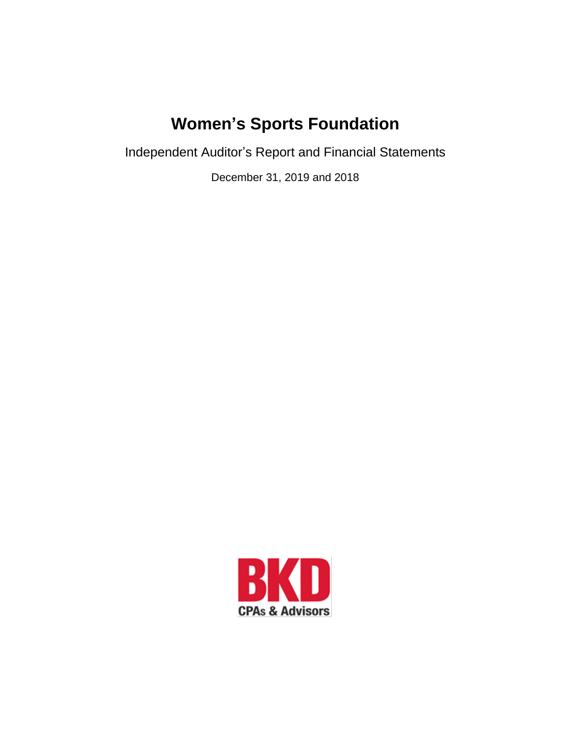Independent Auditor's Report and Financial Statements

December 31, 2019 and 2018

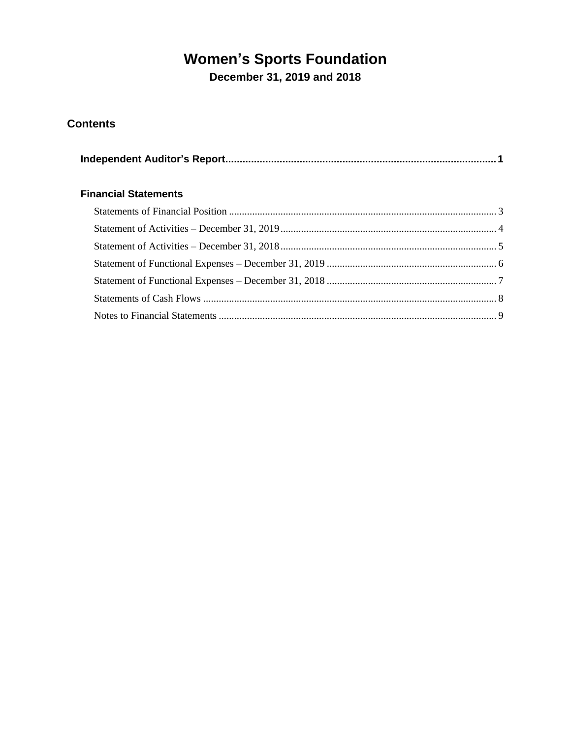**December 31, 2019 and 2018**

### **Contents**

| <b>Financial Statements</b> |  |
|-----------------------------|--|
|                             |  |
|                             |  |
|                             |  |
|                             |  |
|                             |  |
|                             |  |
|                             |  |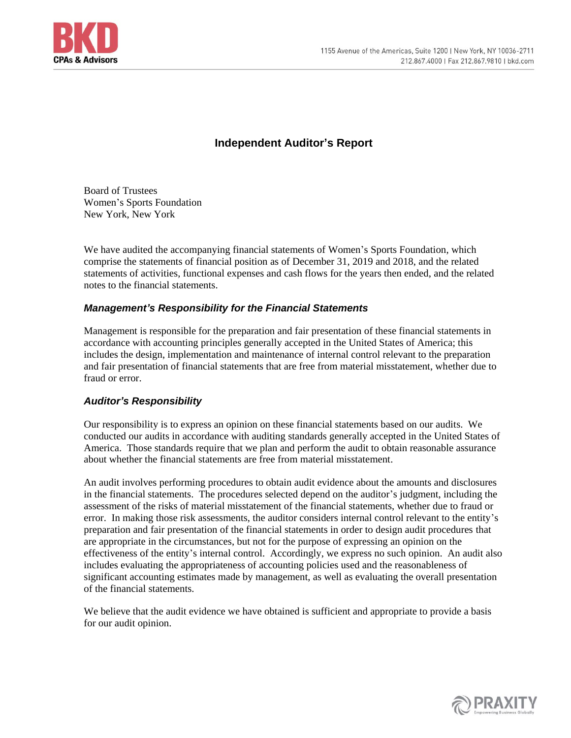

#### **Independent Auditor's Report**

<span id="page-2-0"></span>Board of Trustees Women's Sports Foundation New York, New York

We have audited the accompanying financial statements of Women's Sports Foundation, which comprise the statements of financial position as of December 31, 2019 and 2018, and the related statements of activities, functional expenses and cash flows for the years then ended, and the related notes to the financial statements.

#### *Management's Responsibility for the Financial Statements*

Management is responsible for the preparation and fair presentation of these financial statements in accordance with accounting principles generally accepted in the United States of America; this includes the design, implementation and maintenance of internal control relevant to the preparation and fair presentation of financial statements that are free from material misstatement, whether due to fraud or error.

#### *Auditor's Responsibility*

Our responsibility is to express an opinion on these financial statements based on our audits. We conducted our audits in accordance with auditing standards generally accepted in the United States of America. Those standards require that we plan and perform the audit to obtain reasonable assurance about whether the financial statements are free from material misstatement.

An audit involves performing procedures to obtain audit evidence about the amounts and disclosures in the financial statements. The procedures selected depend on the auditor's judgment, including the assessment of the risks of material misstatement of the financial statements, whether due to fraud or error. In making those risk assessments, the auditor considers internal control relevant to the entity's preparation and fair presentation of the financial statements in order to design audit procedures that are appropriate in the circumstances, but not for the purpose of expressing an opinion on the effectiveness of the entity's internal control. Accordingly, we express no such opinion. An audit also includes evaluating the appropriateness of accounting policies used and the reasonableness of significant accounting estimates made by management, as well as evaluating the overall presentation of the financial statements.

We believe that the audit evidence we have obtained is sufficient and appropriate to provide a basis for our audit opinion.

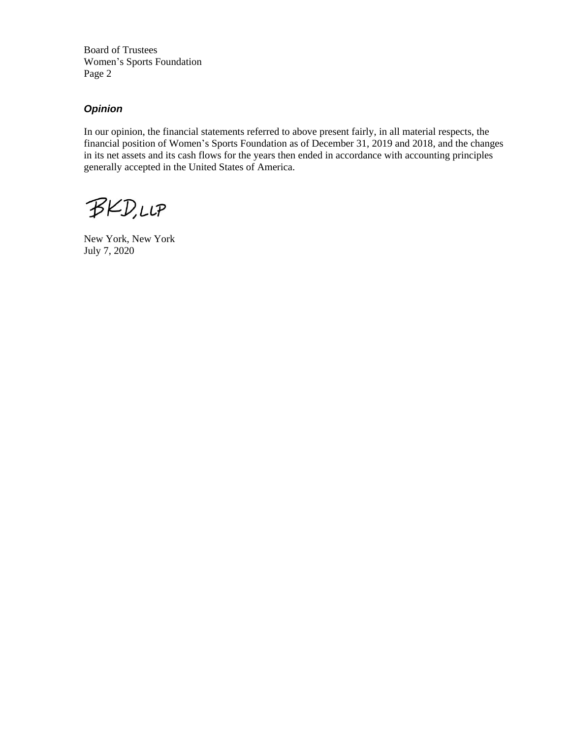Board of Trustees Women's Sports Foundation Page 2

#### *Opinion*

In our opinion, the financial statements referred to above present fairly, in all material respects, the financial position of Women's Sports Foundation as of December 31, 2019 and 2018, and the changes in its net assets and its cash flows for the years then ended in accordance with accounting principles generally accepted in the United States of America.

**BKD,LLP** 

New York, New York July 7, 2020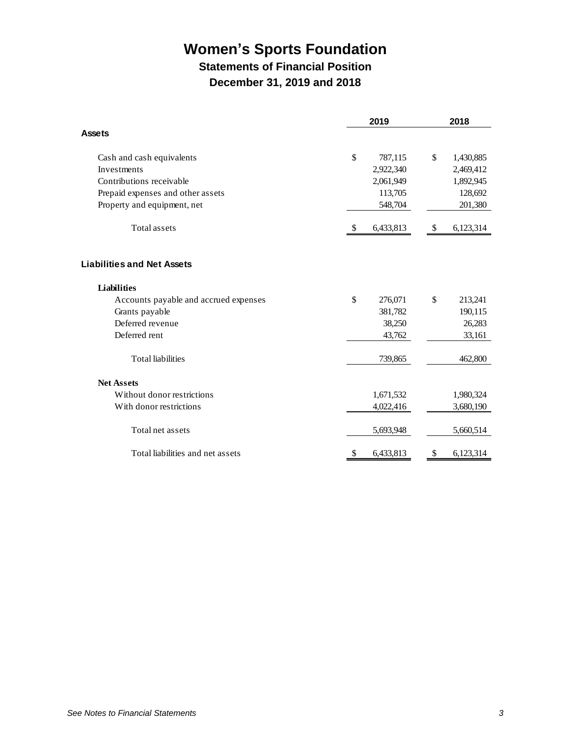### **Statements of Financial Position December 31, 2019 and 2018**

<span id="page-4-0"></span>

|                                       |    | 2018      |    |           |
|---------------------------------------|----|-----------|----|-----------|
| <b>Assets</b>                         |    |           |    |           |
| Cash and cash equivalents             | \$ | 787,115   | \$ | 1,430,885 |
| Investments                           |    | 2,922,340 |    | 2,469,412 |
| Contributions receivable              |    | 2,061,949 |    | 1,892,945 |
| Prepaid expenses and other assets     |    | 113,705   |    | 128,692   |
| Property and equipment, net           |    | 548,704   |    | 201,380   |
| <b>Total assets</b>                   | \$ | 6,433,813 | \$ | 6,123,314 |
| <b>Liabilities and Net Assets</b>     |    |           |    |           |
| <b>Liabilities</b>                    |    |           |    |           |
| Accounts payable and accrued expenses | \$ | 276,071   | \$ | 213,241   |
| Grants payable                        |    | 381,782   |    | 190,115   |
| Deferred revenue                      |    | 38,250    |    | 26,283    |
| Deferred rent                         |    | 43,762    |    | 33,161    |
| <b>Total liabilities</b>              |    | 739,865   |    | 462,800   |
| <b>Net Assets</b>                     |    |           |    |           |
| Without donor restrictions            |    | 1,671,532 |    | 1,980,324 |
| With donor restrictions               |    | 4,022,416 |    | 3,680,190 |
| Total net assets                      |    | 5,693,948 |    | 5,660,514 |
| Total liabilities and net assets      | \$ | 6,433,813 | \$ | 6,123,314 |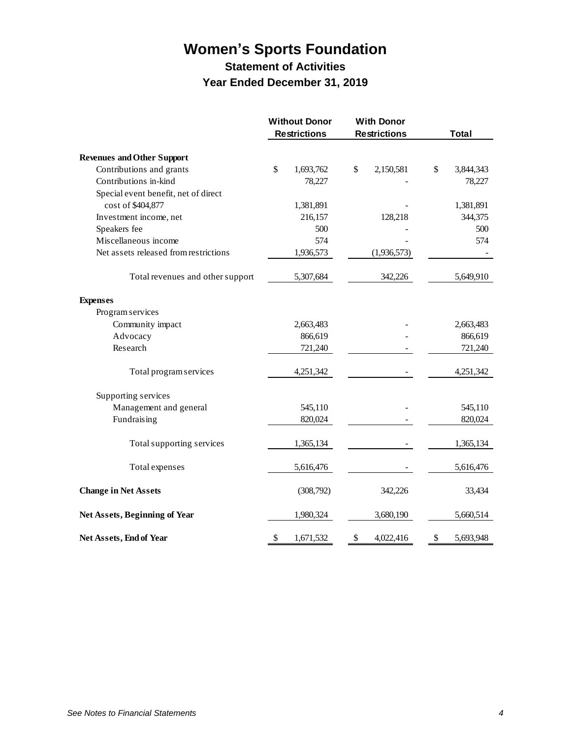### **Statement of Activities Year Ended December 31, 2019**

<span id="page-5-0"></span>

|                                       | <b>Without Donor</b><br><b>Restrictions</b> | <b>With Donor</b><br><b>Restrictions</b> | <b>Total</b>    |
|---------------------------------------|---------------------------------------------|------------------------------------------|-----------------|
| <b>Revenues and Other Support</b>     |                                             |                                          |                 |
| Contributions and grants              | $\mathbb{S}$<br>1,693,762                   | \$<br>2,150,581                          | \$<br>3,844,343 |
| Contributions in-kind                 | 78,227                                      |                                          | 78,227          |
| Special event benefit, net of direct  |                                             |                                          |                 |
| cost of \$404,877                     | 1,381,891                                   |                                          | 1,381,891       |
| Investment income, net                | 216,157                                     | 128,218                                  | 344,375         |
| Speakers fee                          | 500                                         |                                          | 500             |
| Miscellaneous income                  | 574                                         |                                          | 574             |
| Net assets released from restrictions | 1,936,573                                   | (1,936,573)                              |                 |
| Total revenues and other support      | 5,307,684                                   | 342,226                                  | 5,649,910       |
| <b>Expenses</b>                       |                                             |                                          |                 |
| Program services                      |                                             |                                          |                 |
| Community impact                      | 2,663,483                                   |                                          | 2,663,483       |
| Advocacy                              | 866,619                                     |                                          | 866,619         |
| Research                              | 721,240                                     |                                          | 721,240         |
| Total program services                | 4,251,342                                   |                                          | 4,251,342       |
| Supporting services                   |                                             |                                          |                 |
| Management and general                | 545,110                                     |                                          | 545,110         |
| Fundraising                           | 820,024                                     |                                          | 820,024         |
| Total supporting services             | 1,365,134                                   |                                          | 1,365,134       |
| Total expenses                        | 5,616,476                                   |                                          | 5,616,476       |
| <b>Change in Net Assets</b>           | (308,792)                                   | 342,226                                  | 33,434          |
| Net Assets, Beginning of Year         | 1,980,324                                   | 3,680,190                                | 5,660,514       |
| Net Assets, End of Year               | \$<br>1,671,532                             | \$<br>4,022,416                          | \$<br>5,693,948 |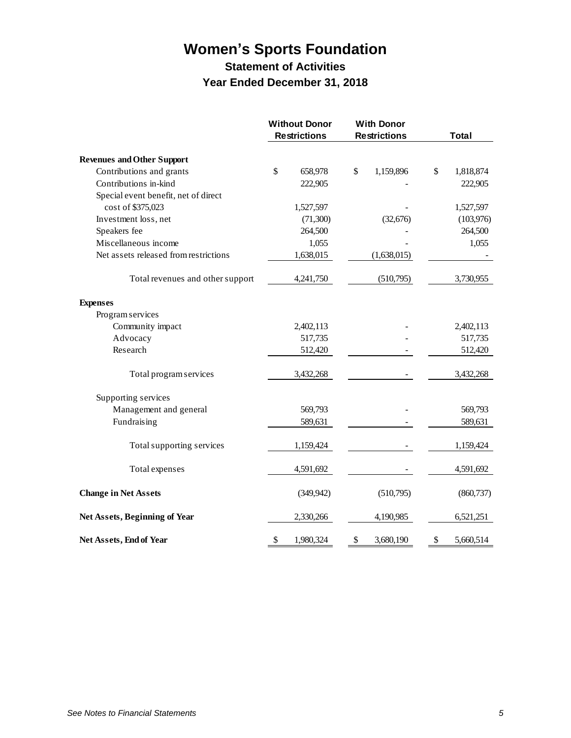### **Women's Sports Foundation Statement of Activities**

## **Year Ended December 31, 2018**

<span id="page-6-0"></span>

|                                       | <b>Without Donor</b><br><b>Restrictions</b> | <b>With Donor</b><br><b>Restrictions</b> | Total           |
|---------------------------------------|---------------------------------------------|------------------------------------------|-----------------|
| <b>Revenues and Other Support</b>     |                                             |                                          |                 |
| Contributions and grants              | \$<br>658,978                               | \$<br>1,159,896                          | \$<br>1,818,874 |
| Contributions in-kind                 | 222,905                                     |                                          | 222,905         |
| Special event benefit, net of direct  |                                             |                                          |                 |
| cost of \$375,023                     | 1,527,597                                   |                                          | 1,527,597       |
| Investment loss, net                  | (71, 300)                                   | (32, 676)                                | (103, 976)      |
| Speakers fee                          | 264,500                                     |                                          | 264,500         |
| Miscellaneous income                  | 1,055                                       |                                          | 1,055           |
| Net assets released from restrictions | 1,638,015                                   | (1,638,015)                              |                 |
| Total revenues and other support      | 4,241,750                                   | (510, 795)                               | 3,730,955       |
| <b>Expenses</b>                       |                                             |                                          |                 |
| Program services                      |                                             |                                          |                 |
| Community impact                      | 2,402,113                                   |                                          | 2,402,113       |
| Advocacy                              | 517,735                                     |                                          | 517,735         |
| Research                              | 512,420                                     |                                          | 512,420         |
| Total program services                | 3,432,268                                   |                                          | 3,432,268       |
| Supporting services                   |                                             |                                          |                 |
| Management and general                | 569,793                                     |                                          | 569,793         |
| Fundraising                           | 589,631                                     |                                          | 589,631         |
| Total supporting services             | 1,159,424                                   |                                          | 1,159,424       |
| Total expenses                        | 4,591,692                                   |                                          | 4,591,692       |
| <b>Change in Net Assets</b>           | (349, 942)                                  | (510,795)                                | (860, 737)      |
| Net Assets, Beginning of Year         | 2,330,266                                   | 4,190,985                                | 6,521,251       |
| Net Assets, End of Year               | \$<br>1,980,324                             | \$<br>3,680,190                          | \$<br>5,660,514 |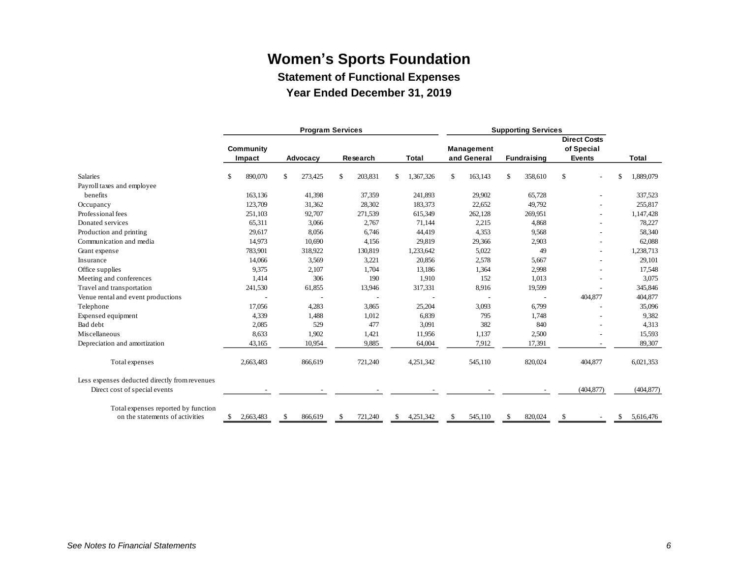**Statement of Functional Expenses**

**Year Ended December 31, 2019**

<span id="page-7-0"></span>

|                                               |               |           | <b>Program Services</b> |               |         |              |           | <b>Supporting Services</b> |         |                    |         |                                   |                          |               |            |
|-----------------------------------------------|---------------|-----------|-------------------------|---------------|---------|--------------|-----------|----------------------------|---------|--------------------|---------|-----------------------------------|--------------------------|---------------|------------|
|                                               | Community     |           |                         |               |         |              |           | Management                 |         |                    |         | <b>Direct Costs</b><br>of Special |                          |               |            |
|                                               |               | Impact    | Advocacy                | Research      |         | <b>Total</b> |           | and General                |         | <b>Fundraising</b> |         | <b>Events</b>                     |                          | <b>Total</b>  |            |
| <b>Salaries</b>                               | <sup>\$</sup> | 890,070   | \$<br>273,425           | \$            | 203,831 | \$           | 1,367,326 | \$                         | 163,143 | $\mathbf{\$}$      | 358,610 | \$                                |                          | <sup>\$</sup> | 1,889,079  |
| Payroll taxes and employee                    |               |           |                         |               |         |              |           |                            |         |                    |         |                                   |                          |               |            |
| benefits                                      |               | 163,136   | 41,398                  |               | 37,359  |              | 241,893   |                            | 29,902  |                    | 65,728  |                                   |                          |               | 337,523    |
| Occupancy                                     |               | 123,709   | 31,362                  |               | 28,302  |              | 183,373   |                            | 22,652  |                    | 49,792  |                                   | ۰                        |               | 255,817    |
| Professional fees                             |               | 251,103   | 92,707                  |               | 271,539 |              | 615,349   |                            | 262,128 |                    | 269,951 |                                   | ۰                        |               | 1,147,428  |
| Donated services                              |               | 65,311    | 3,066                   |               | 2,767   |              | 71,144    |                            | 2,215   |                    | 4,868   |                                   | $\overline{\phantom{0}}$ |               | 78,227     |
| Production and printing                       |               | 29,617    | 8,056                   |               | 6,746   |              | 44,419    |                            | 4,353   |                    | 9,568   |                                   |                          |               | 58,340     |
| Communication and media                       |               | 14,973    | 10,690                  |               | 4,156   |              | 29,819    |                            | 29,366  |                    | 2,903   |                                   |                          |               | 62,088     |
| Grant expense                                 |               | 783,901   | 318,922                 |               | 130,819 |              | 1,233,642 |                            | 5,022   |                    | 49      |                                   |                          |               | 1,238,713  |
| Insurance                                     |               | 14,066    | 3,569                   |               | 3,221   |              | 20,856    |                            | 2,578   |                    | 5,667   |                                   |                          |               | 29,101     |
| Office supplies                               |               | 9,375     | 2,107                   |               | 1,704   |              | 13,186    |                            | 1,364   |                    | 2,998   |                                   |                          |               | 17,548     |
| Meeting and conferences                       |               | 1,414     | 306                     |               | 190     |              | 1,910     |                            | 152     |                    | 1,013   |                                   |                          |               | 3,075      |
| Travel and transportation                     |               | 241,530   | 61,855                  |               | 13,946  |              | 317,331   |                            | 8,916   |                    | 19,599  |                                   |                          |               | 345,846    |
| Venue rental and event productions            |               |           |                         |               |         |              |           |                            |         |                    |         |                                   | 404,877                  |               | 404,877    |
| Telephone                                     |               | 17,056    | 4,283                   |               | 3,865   |              | 25,204    |                            | 3,093   |                    | 6,799   |                                   |                          |               | 35,096     |
| Expensed equipment                            |               | 4,339     | 1,488                   |               | 1,012   |              | 6,839     |                            | 795     |                    | 1,748   |                                   |                          |               | 9,382      |
| Bad debt                                      |               | 2,085     | 529                     |               | 477     |              | 3,091     |                            | 382     |                    | 840     |                                   |                          |               | 4,313      |
| Miscellaneous                                 |               | 8,633     | 1,902                   |               | 1,421   |              | 11,956    |                            | 1,137   |                    | 2,500   |                                   |                          |               | 15,593     |
| Depreciation and amortization                 |               | 43,165    | 10,954                  |               | 9,885   |              | 64,004    |                            | 7,912   |                    | 17,391  |                                   |                          |               | 89,307     |
| Total expenses                                |               | 2,663,483 | 866,619                 |               | 721,240 |              | 4,251,342 |                            | 545,110 |                    | 820,024 |                                   | 404,877                  |               | 6,021,353  |
| Less expenses deducted directly from revenues |               |           |                         |               |         |              |           |                            |         |                    |         |                                   |                          |               |            |
| Direct cost of special events                 |               |           |                         |               |         |              |           |                            |         |                    |         |                                   | (404, 877)               |               | (404, 877) |
| Total expenses reported by function           |               |           |                         |               |         |              |           |                            |         |                    |         |                                   |                          |               |            |
| on the statements of activities               | \$            | 2,663,483 | \$<br>866,619           | <sup>\$</sup> | 721,240 | \$           | 4,251,342 | \$                         | 545,110 | $\mathbf{\$}$      | 820,024 | \$                                |                          | \$            | 5,616,476  |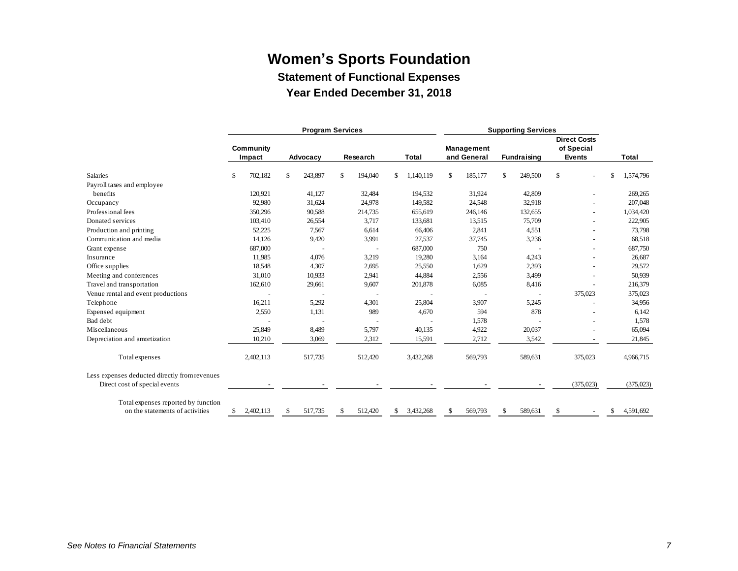**Statement of Functional Expenses**

**Year Ended December 31, 2018**

<span id="page-8-0"></span>

|                                               |           |           |              | <b>Program Services</b> |          |         |                 | <b>Supporting Services</b> |             |    |             |                                   |           |       |            |
|-----------------------------------------------|-----------|-----------|--------------|-------------------------|----------|---------|-----------------|----------------------------|-------------|----|-------------|-----------------------------------|-----------|-------|------------|
|                                               | Community |           |              |                         |          |         |                 | Management                 |             |    |             | <b>Direct Costs</b><br>of Special |           |       |            |
|                                               |           | Impact    | Advocacy     |                         | Research |         | Total           |                            | and General |    | Fundraising | <b>Events</b>                     |           | Total |            |
| <b>Salaries</b>                               | \$        | 702,182   | $\mathbb{S}$ | 243,897                 | \$       | 194,040 | \$<br>1,140,119 | \$                         | 185,177     | \$ | 249,500     | \$                                |           | \$    | 1,574,796  |
| Payroll taxes and employee                    |           |           |              |                         |          |         |                 |                            |             |    |             |                                   |           |       |            |
| benefits                                      |           | 120,921   |              | 41,127                  |          | 32,484  | 194,532         |                            | 31,924      |    | 42,809      |                                   |           |       | 269,265    |
| Occupancy                                     |           | 92,980    |              | 31,624                  |          | 24,978  | 149,582         |                            | 24,548      |    | 32,918      |                                   |           |       | 207,048    |
| Professional fees                             |           | 350,296   |              | 90,588                  |          | 214,735 | 655,619         |                            | 246,146     |    | 132,655     |                                   |           |       | 1,034,420  |
| Donated services                              |           | 103,410   |              | 26,554                  |          | 3,717   | 133,681         |                            | 13,515      |    | 75,709      |                                   |           |       | 222,905    |
| Production and printing                       |           | 52,225    |              | 7,567                   |          | 6,614   | 66,406          |                            | 2,841       |    | 4,551       |                                   |           |       | 73,798     |
| Communication and media                       |           | 14,126    |              | 9,420                   |          | 3,991   | 27,537          |                            | 37,745      |    | 3,236       |                                   |           |       | 68,518     |
| Grant expense                                 |           | 687,000   |              |                         |          |         | 687,000         |                            | 750         |    |             |                                   |           |       | 687,750    |
| Insurance                                     |           | 11,985    |              | 4,076                   |          | 3,219   | 19,280          |                            | 3,164       |    | 4,243       |                                   |           |       | 26,687     |
| Office supplies                               |           | 18,548    |              | 4,307                   |          | 2,695   | 25,550          |                            | 1,629       |    | 2,393       |                                   |           |       | 29,572     |
| Meeting and conferences                       |           | 31,010    |              | 10,933                  |          | 2,941   | 44,884          |                            | 2,556       |    | 3,499       |                                   |           |       | 50,939     |
| Travel and transportation                     |           | 162,610   |              | 29,661                  |          | 9,607   | 201,878         |                            | 6,085       |    | 8,416       |                                   |           |       | 216,379    |
| Venue rental and event productions            |           |           |              |                         |          |         |                 |                            |             |    |             |                                   | 375,023   |       | 375,023    |
| Telephone                                     |           | 16,211    |              | 5,292                   |          | 4,301   | 25,804          |                            | 3,907       |    | 5,245       |                                   |           |       | 34,956     |
| Expensed equipment                            |           | 2,550     |              | 1,131                   |          | 989     | 4,670           |                            | 594         |    | 878         |                                   |           |       | 6,142      |
| Bad debt                                      |           |           |              |                         |          |         |                 |                            | 1,578       |    |             |                                   |           |       | 1,578      |
| Miscellaneous                                 |           | 25,849    |              | 8.489                   |          | 5,797   | 40,135          |                            | 4,922       |    | 20,037      |                                   |           |       | 65,094     |
| Depreciation and amortization                 |           | 10,210    |              | 3,069                   |          | 2,312   | 15,591          |                            | 2,712       |    | 3,542       |                                   |           |       | 21,845     |
| Total expenses                                |           | 2,402,113 |              | 517,735                 |          | 512,420 | 3,432,268       |                            | 569,793     |    | 589,631     |                                   | 375,023   |       | 4,966,715  |
| Less expenses deducted directly from revenues |           |           |              |                         |          |         |                 |                            |             |    |             |                                   |           |       |            |
| Direct cost of special events                 |           |           |              |                         |          |         |                 |                            |             |    |             |                                   | (375,023) |       | (375, 023) |
| Total expenses reported by function           |           |           |              |                         |          |         |                 |                            |             |    |             |                                   |           |       |            |
| on the statements of activities               | \$        | 2,402,113 | -S           | 517,735                 | S        | 512,420 | 3,432,268       | \$.                        | 569,793     | \$ | 589,631     | \$                                |           | \$    | 4,591,692  |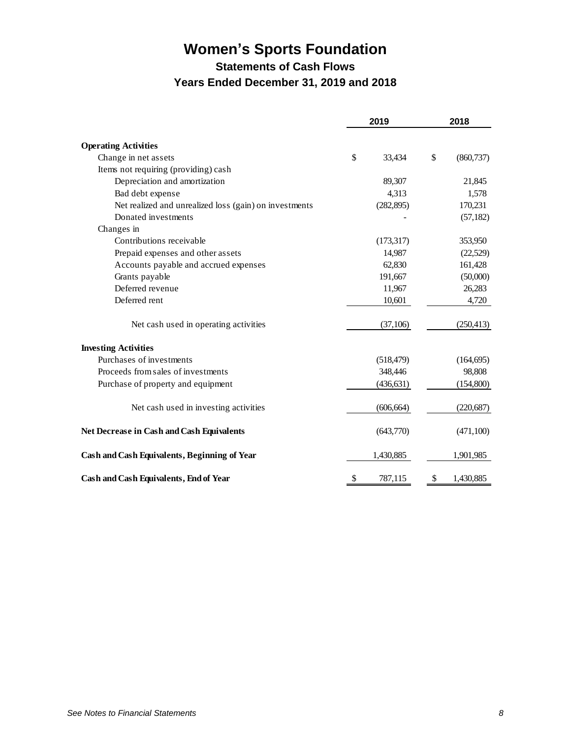**Statements of Cash Flows**

#### **Years Ended December 31, 2019 and 2018**

<span id="page-9-0"></span>

|                                                        | 2019          | 2018 |            |  |
|--------------------------------------------------------|---------------|------|------------|--|
| <b>Operating Activities</b>                            |               |      |            |  |
| Change in net assets                                   | \$<br>33,434  | \$   | (860, 737) |  |
| Items not requiring (providing) cash                   |               |      |            |  |
| Depreciation and amortization                          | 89,307        |      | 21,845     |  |
| Bad debt expense                                       | 4,313         |      | 1,578      |  |
| Net realized and unrealized loss (gain) on investments | (282, 895)    |      | 170,231    |  |
| Donated investments                                    |               |      | (57, 182)  |  |
| Changes in                                             |               |      |            |  |
| Contributions receivable                               | (173,317)     |      | 353,950    |  |
| Prepaid expenses and other assets                      | 14,987        |      | (22,529)   |  |
| Accounts payable and accrued expenses                  | 62,830        |      | 161,428    |  |
| Grants payable                                         | 191,667       |      | (50,000)   |  |
| Deferred revenue                                       | 11,967        |      | 26,283     |  |
| Deferred rent                                          | 10,601        |      | 4,720      |  |
| Net cash used in operating activities                  | (37,106)      |      | (250, 413) |  |
| <b>Investing Activities</b>                            |               |      |            |  |
| Purchases of investments                               | (518, 479)    |      | (164, 695) |  |
| Proceeds from sales of investments                     | 348,446       |      | 98,808     |  |
| Purchase of property and equipment                     | (436, 631)    |      | (154,800)  |  |
| Net cash used in investing activities                  | (606, 664)    |      | (220, 687) |  |
| Net Decrease in Cash and Cash Equivalents              | (643,770)     |      | (471, 100) |  |
| Cash and Cash Equivalents, Beginning of Year           | 1,430,885     |      | 1,901,985  |  |
| Cash and Cash Equivalents, End of Year                 | \$<br>787,115 | \$   | 1,430,885  |  |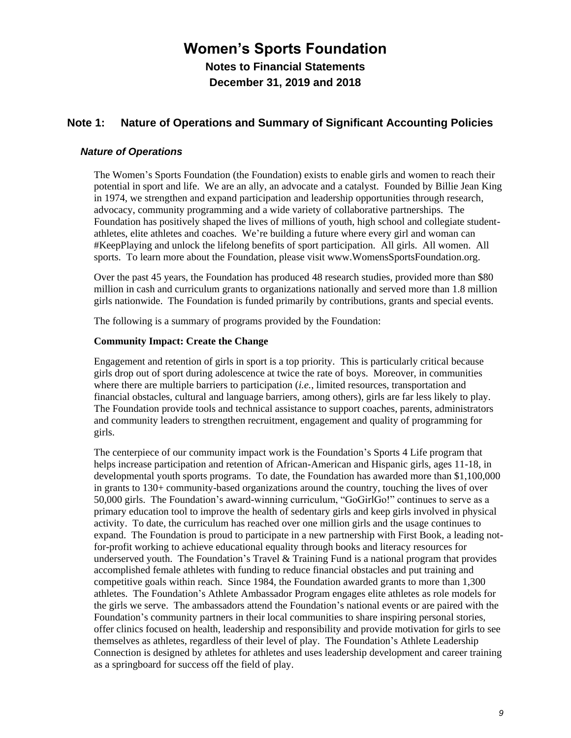**Notes to Financial Statements December 31, 2019 and 2018**

#### <span id="page-10-0"></span>**Note 1: Nature of Operations and Summary of Significant Accounting Policies**

#### *Nature of Operations*

The Women's Sports Foundation (the Foundation) exists to enable girls and women to reach their potential in sport and life. We are an ally, an advocate and a catalyst. Founded by Billie Jean King in 1974, we strengthen and expand participation and leadership opportunities through research, advocacy, community programming and a wide variety of collaborative partnerships. The Foundation has positively shaped the lives of millions of youth, high school and collegiate studentathletes, elite athletes and coaches. We're building a future where every girl and woman can #KeepPlaying and unlock the lifelong benefits of sport participation. All girls. All women. All sports. To learn more about the Foundation, please visit www.WomensSportsFoundation.org.

Over the past 45 years, the Foundation has produced 48 research studies, provided more than \$80 million in cash and curriculum grants to organizations nationally and served more than 1.8 million girls nationwide. The Foundation is funded primarily by contributions, grants and special events.

The following is a summary of programs provided by the Foundation:

#### **Community Impact: Create the Change**

Engagement and retention of girls in sport is a top priority. This is particularly critical because girls drop out of sport during adolescence at twice the rate of boys. Moreover, in communities where there are multiple barriers to participation (*i.e.*, limited resources, transportation and financial obstacles, cultural and language barriers, among others), girls are far less likely to play. The Foundation provide tools and technical assistance to support coaches, parents, administrators and community leaders to strengthen recruitment, engagement and quality of programming for girls.

The centerpiece of our community impact work is the Foundation's Sports 4 Life program that helps increase participation and retention of African-American and Hispanic girls, ages 11-18, in developmental youth sports programs. To date, the Foundation has awarded more than \$1,100,000 in grants to 130+ community-based organizations around the country, touching the lives of over 50,000 girls. The Foundation's award-winning curriculum, "GoGirlGo!" continues to serve as a primary education tool to improve the health of sedentary girls and keep girls involved in physical activity. To date, the curriculum has reached over one million girls and the usage continues to expand. The Foundation is proud to participate in a new partnership with First Book, a leading notfor-profit working to achieve educational equality through books and literacy resources for underserved youth. The Foundation's Travel & Training Fund is a national program that provides accomplished female athletes with funding to reduce financial obstacles and put training and competitive goals within reach. Since 1984, the Foundation awarded grants to more than 1,300 athletes. The Foundation's Athlete Ambassador Program engages elite athletes as role models for the girls we serve. The ambassadors attend the Foundation's national events or are paired with the Foundation's community partners in their local communities to share inspiring personal stories, offer clinics focused on health, leadership and responsibility and provide motivation for girls to see themselves as athletes, regardless of their level of play. The Foundation's Athlete Leadership Connection is designed by athletes for athletes and uses leadership development and career training as a springboard for success off the field of play.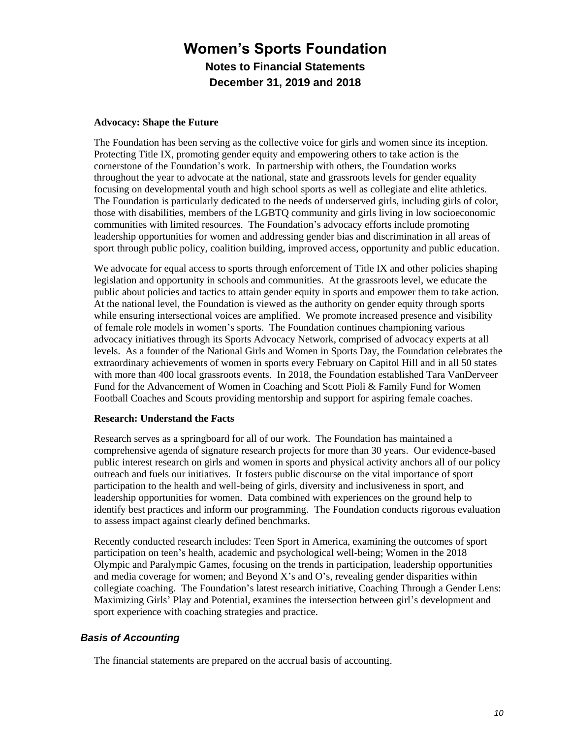#### **Advocacy: Shape the Future**

The Foundation has been serving as the collective voice for girls and women since its inception. Protecting Title IX, promoting gender equity and empowering others to take action is the cornerstone of the Foundation's work. In partnership with others, the Foundation works throughout the year to advocate at the national, state and grassroots levels for gender equality focusing on developmental youth and high school sports as well as collegiate and elite athletics. The Foundation is particularly dedicated to the needs of underserved girls, including girls of color, those with disabilities, members of the LGBTQ community and girls living in low socioeconomic communities with limited resources. The Foundation's advocacy efforts include promoting leadership opportunities for women and addressing gender bias and discrimination in all areas of sport through public policy, coalition building, improved access, opportunity and public education.

We advocate for equal access to sports through enforcement of Title IX and other policies shaping legislation and opportunity in schools and communities. At the grassroots level, we educate the public about policies and tactics to attain gender equity in sports and empower them to take action. At the national level, the Foundation is viewed as the authority on gender equity through sports while ensuring intersectional voices are amplified. We promote increased presence and visibility of female role models in women's sports. The Foundation continues championing various advocacy initiatives through its Sports Advocacy Network, comprised of advocacy experts at all levels. As a founder of the National Girls and Women in Sports Day, the Foundation celebrates the extraordinary achievements of women in sports every February on Capitol Hill and in all 50 states with more than 400 local grassroots events. In 2018, the Foundation established Tara VanDerveer Fund for the Advancement of Women in Coaching and Scott Pioli & Family Fund for Women Football Coaches and Scouts providing mentorship and support for aspiring female coaches.

#### **Research: Understand the Facts**

Research serves as a springboard for all of our work. The Foundation has maintained a comprehensive agenda of signature research projects for more than 30 years. Our evidence-based public interest research on girls and women in sports and physical activity anchors all of our policy outreach and fuels our initiatives. It fosters public discourse on the vital importance of sport participation to the health and well-being of girls, diversity and inclusiveness in sport, and leadership opportunities for women. Data combined with experiences on the ground help to identify best practices and inform our programming. The Foundation conducts rigorous evaluation to assess impact against clearly defined benchmarks.

Recently conducted research includes: Teen Sport in America, examining the outcomes of sport participation on teen's health, academic and psychological well-being; Women in the 2018 Olympic and Paralympic Games, focusing on the trends in participation, leadership opportunities and media coverage for women; and Beyond X's and O's, revealing gender disparities within collegiate coaching. The Foundation's latest research initiative, Coaching Through a Gender Lens: Maximizing Girls' Play and Potential, examines the intersection between girl's development and sport experience with coaching strategies and practice.

#### *Basis of Accounting*

The financial statements are prepared on the accrual basis of accounting.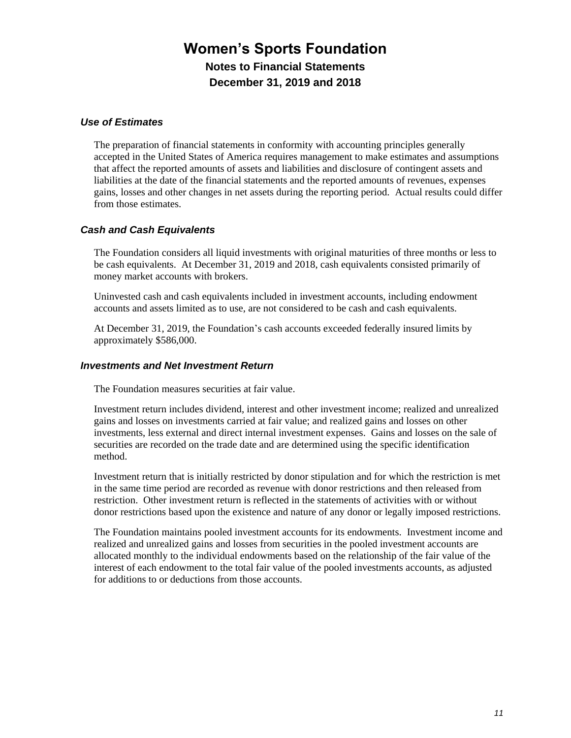#### *Use of Estimates*

The preparation of financial statements in conformity with accounting principles generally accepted in the United States of America requires management to make estimates and assumptions that affect the reported amounts of assets and liabilities and disclosure of contingent assets and liabilities at the date of the financial statements and the reported amounts of revenues, expenses gains, losses and other changes in net assets during the reporting period. Actual results could differ from those estimates.

#### *Cash and Cash Equivalents*

The Foundation considers all liquid investments with original maturities of three months or less to be cash equivalents. At December 31, 2019 and 2018, cash equivalents consisted primarily of money market accounts with brokers.

Uninvested cash and cash equivalents included in investment accounts, including endowment accounts and assets limited as to use, are not considered to be cash and cash equivalents.

At December 31, 2019, the Foundation's cash accounts exceeded federally insured limits by approximately \$586,000.

#### *Investments and Net Investment Return*

The Foundation measures securities at fair value.

Investment return includes dividend, interest and other investment income; realized and unrealized gains and losses on investments carried at fair value; and realized gains and losses on other investments, less external and direct internal investment expenses. Gains and losses on the sale of securities are recorded on the trade date and are determined using the specific identification method.

Investment return that is initially restricted by donor stipulation and for which the restriction is met in the same time period are recorded as revenue with donor restrictions and then released from restriction. Other investment return is reflected in the statements of activities with or without donor restrictions based upon the existence and nature of any donor or legally imposed restrictions.

The Foundation maintains pooled investment accounts for its endowments. Investment income and realized and unrealized gains and losses from securities in the pooled investment accounts are allocated monthly to the individual endowments based on the relationship of the fair value of the interest of each endowment to the total fair value of the pooled investments accounts, as adjusted for additions to or deductions from those accounts.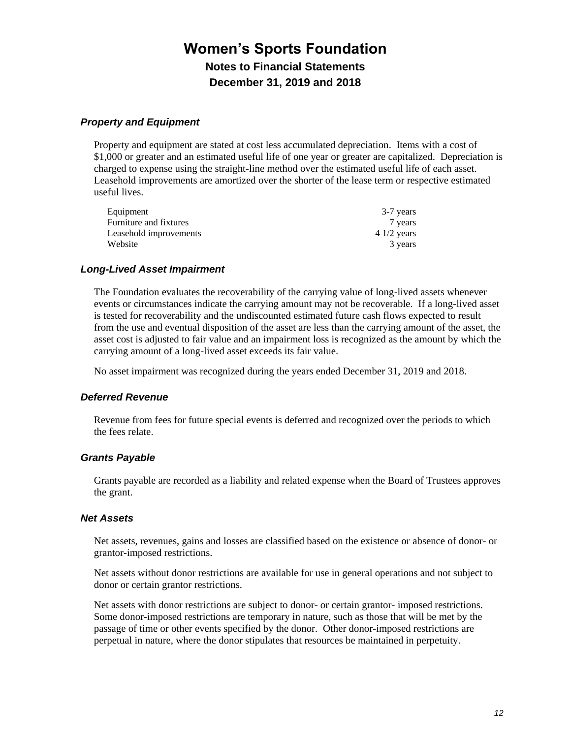#### *Property and Equipment*

Property and equipment are stated at cost less accumulated depreciation. Items with a cost of \$1,000 or greater and an estimated useful life of one year or greater are capitalized. Depreciation is charged to expense using the straight-line method over the estimated useful life of each asset. Leasehold improvements are amortized over the shorter of the lease term or respective estimated useful lives.

| Equipment              | 3-7 years    |
|------------------------|--------------|
| Furniture and fixtures | 7 years      |
| Leasehold improvements | $41/2$ years |
| Website                | 3 years      |

#### *Long-Lived Asset Impairment*

The Foundation evaluates the recoverability of the carrying value of long-lived assets whenever events or circumstances indicate the carrying amount may not be recoverable. If a long-lived asset is tested for recoverability and the undiscounted estimated future cash flows expected to result from the use and eventual disposition of the asset are less than the carrying amount of the asset, the asset cost is adjusted to fair value and an impairment loss is recognized as the amount by which the carrying amount of a long-lived asset exceeds its fair value.

No asset impairment was recognized during the years ended December 31, 2019 and 2018.

#### *Deferred Revenue*

Revenue from fees for future special events is deferred and recognized over the periods to which the fees relate.

#### *Grants Payable*

Grants payable are recorded as a liability and related expense when the Board of Trustees approves the grant.

#### *Net Assets*

Net assets, revenues, gains and losses are classified based on the existence or absence of donor- or grantor-imposed restrictions.

Net assets without donor restrictions are available for use in general operations and not subject to donor or certain grantor restrictions.

Net assets with donor restrictions are subject to donor- or certain grantor- imposed restrictions. Some donor-imposed restrictions are temporary in nature, such as those that will be met by the passage of time or other events specified by the donor. Other donor-imposed restrictions are perpetual in nature, where the donor stipulates that resources be maintained in perpetuity.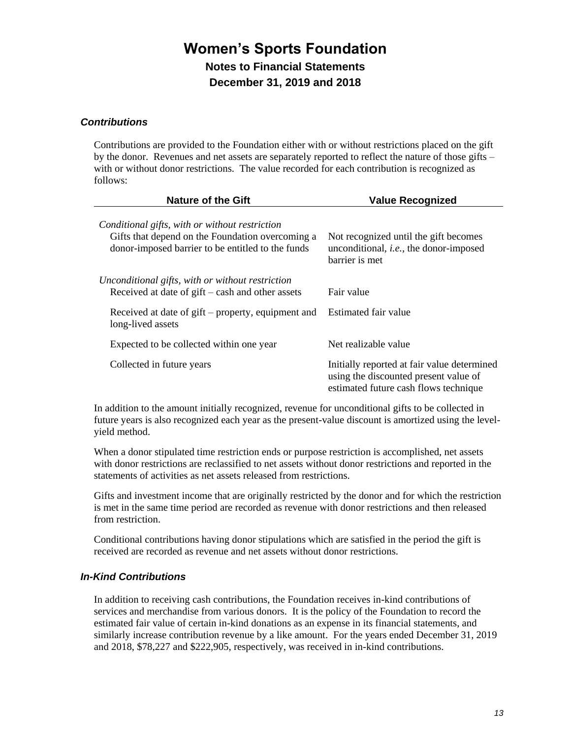#### *Contributions*

Contributions are provided to the Foundation either with or without restrictions placed on the gift by the donor. Revenues and net assets are separately reported to reflect the nature of those gifts – with or without donor restrictions. The value recorded for each contribution is recognized as follows:

| <b>Nature of the Gift</b>                                                                                                                               | <b>Value Recognized</b>                                                                                                       |
|---------------------------------------------------------------------------------------------------------------------------------------------------------|-------------------------------------------------------------------------------------------------------------------------------|
| Conditional gifts, with or without restriction<br>Gifts that depend on the Foundation overcoming a<br>donor-imposed barrier to be entitled to the funds | Not recognized until the gift becomes<br>unconditional, <i>i.e.</i> , the donor-imposed<br>barrier is met                     |
| Unconditional gifts, with or without restriction<br>Received at date of $g$ ift – cash and other assets                                                 | Fair value                                                                                                                    |
| Received at date of gift – property, equipment and<br>long-lived assets                                                                                 | Estimated fair value                                                                                                          |
| Expected to be collected within one year                                                                                                                | Net realizable value                                                                                                          |
| Collected in future years                                                                                                                               | Initially reported at fair value determined<br>using the discounted present value of<br>estimated future cash flows technique |

In addition to the amount initially recognized, revenue for unconditional gifts to be collected in future years is also recognized each year as the present-value discount is amortized using the levelyield method.

When a donor stipulated time restriction ends or purpose restriction is accomplished, net assets with donor restrictions are reclassified to net assets without donor restrictions and reported in the statements of activities as net assets released from restrictions.

Gifts and investment income that are originally restricted by the donor and for which the restriction is met in the same time period are recorded as revenue with donor restrictions and then released from restriction.

Conditional contributions having donor stipulations which are satisfied in the period the gift is received are recorded as revenue and net assets without donor restrictions.

#### *In-Kind Contributions*

In addition to receiving cash contributions, the Foundation receives in-kind contributions of services and merchandise from various donors. It is the policy of the Foundation to record the estimated fair value of certain in-kind donations as an expense in its financial statements, and similarly increase contribution revenue by a like amount. For the years ended December 31, 2019 and 2018, \$78,227 and \$222,905, respectively, was received in in-kind contributions.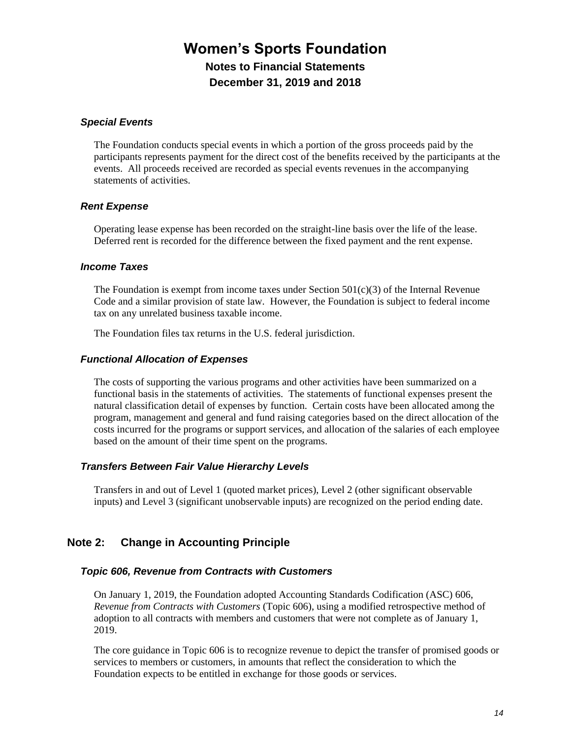#### *Special Events*

The Foundation conducts special events in which a portion of the gross proceeds paid by the participants represents payment for the direct cost of the benefits received by the participants at the events. All proceeds received are recorded as special events revenues in the accompanying statements of activities.

#### *Rent Expense*

Operating lease expense has been recorded on the straight-line basis over the life of the lease. Deferred rent is recorded for the difference between the fixed payment and the rent expense.

#### *Income Taxes*

The Foundation is exempt from income taxes under Section  $501(c)(3)$  of the Internal Revenue Code and a similar provision of state law. However, the Foundation is subject to federal income tax on any unrelated business taxable income.

The Foundation files tax returns in the U.S. federal jurisdiction.

#### *Functional Allocation of Expenses*

The costs of supporting the various programs and other activities have been summarized on a functional basis in the statements of activities. The statements of functional expenses present the natural classification detail of expenses by function. Certain costs have been allocated among the program, management and general and fund raising categories based on the direct allocation of the costs incurred for the programs or support services, and allocation of the salaries of each employee based on the amount of their time spent on the programs.

#### *Transfers Between Fair Value Hierarchy Levels*

Transfers in and out of Level 1 (quoted market prices), Level 2 (other significant observable inputs) and Level 3 (significant unobservable inputs) are recognized on the period ending date.

#### **Note 2: Change in Accounting Principle**

#### *Topic 606, Revenue from Contracts with Customers*

On January 1, 2019, the Foundation adopted Accounting Standards Codification (ASC) 606, *Revenue from Contracts with Customers* (Topic 606), using a modified retrospective method of adoption to all contracts with members and customers that were not complete as of January 1, 2019.

The core guidance in Topic 606 is to recognize revenue to depict the transfer of promised goods or services to members or customers, in amounts that reflect the consideration to which the Foundation expects to be entitled in exchange for those goods or services.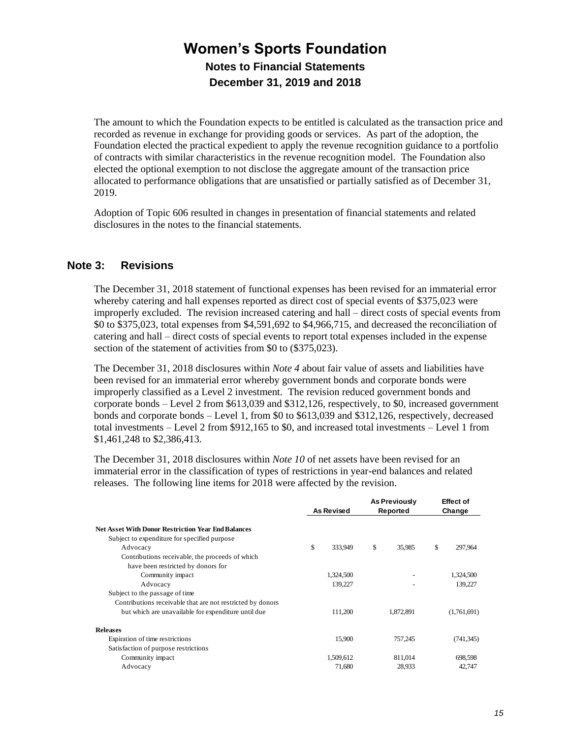The amount to which the Foundation expects to be entitled is calculated as the transaction price and recorded as revenue in exchange for providing goods or services. As part of the adoption, the Foundation elected the practical expedient to apply the revenue recognition guidance to a portfolio of contracts with similar characteristics in the revenue recognition model. The Foundation also elected the optional exemption to not disclose the aggregate amount of the transaction price allocated to performance obligations that are unsatisfied or partially satisfied as of December 31, 2019.

Adoption of Topic 606 resulted in changes in presentation of financial statements and related disclosures in the notes to the financial statements.

#### **Note 3: Revisions**

The December 31, 2018 statement of functional expenses has been revised for an immaterial error whereby catering and hall expenses reported as direct cost of special events of \$375,023 were improperly excluded. The revision increased catering and hall – direct costs of special events from \$0 to \$375,023, total expenses from \$4,591,692 to \$4,966,715, and decreased the reconciliation of catering and hall – direct costs of special events to report total expenses included in the expense section of the statement of activities from \$0 to (\$375,023).

The December 31, 2018 disclosures within *Note 4* about fair value of assets and liabilities have been revised for an immaterial error whereby government bonds and corporate bonds were improperly classified as a Level 2 investment. The revision reduced government bonds and corporate bonds – Level 2 from \$613,039 and \$312,126, respectively, to \$0, increased government bonds and corporate bonds – Level 1, from \$0 to \$613,039 and \$312,126, respectively, decreased total investments – Level 2 from \$912,165 to \$0, and increased total investments – Level 1 from \$1,461,248 to \$2,386,413.

The December 31, 2018 disclosures within *Note 10* of net assets have been revised for an immaterial error in the classification of types of restrictions in year-end balances and related releases. The following line items for 2018 were affected by the revision.

|    |           |                   |           |                                  | <b>Effect of</b> |
|----|-----------|-------------------|-----------|----------------------------------|------------------|
|    |           |                   |           |                                  | Change           |
|    |           |                   |           |                                  |                  |
|    |           |                   |           |                                  |                  |
| \$ | 333,949   | \$                | 35,985    | \$                               | 297,964          |
|    |           |                   |           |                                  |                  |
|    |           |                   |           |                                  |                  |
|    | 1,324,500 |                   |           |                                  | 1,324,500        |
|    | 139,227   |                   |           |                                  | 139.227          |
|    |           |                   |           |                                  |                  |
|    |           |                   |           |                                  |                  |
|    | 111,200   |                   | 1,872,891 |                                  | (1,761,691)      |
|    |           |                   |           |                                  |                  |
|    | 15,900    |                   | 757.245   |                                  | (741, 345)       |
|    |           |                   |           |                                  |                  |
|    | 1,509,612 |                   | 811,014   |                                  | 698,598          |
|    | 71,680    |                   | 28,933    |                                  | 42,747           |
|    |           | <b>As Revised</b> |           | <b>As Previously</b><br>Reported |                  |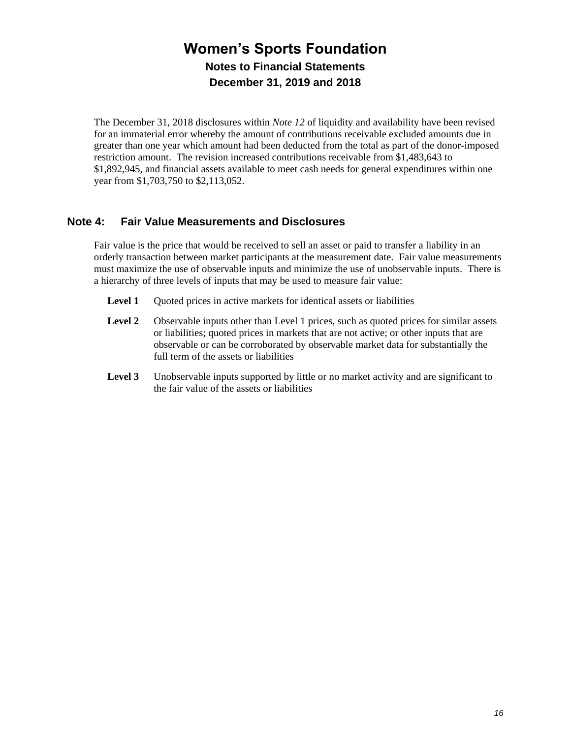The December 31, 2018 disclosures within *Note 12* of liquidity and availability have been revised for an immaterial error whereby the amount of contributions receivable excluded amounts due in greater than one year which amount had been deducted from the total as part of the donor-imposed restriction amount. The revision increased contributions receivable from \$1,483,643 to \$1,892,945, and financial assets available to meet cash needs for general expenditures within one year from \$1,703,750 to \$2,113,052.

#### **Note 4: Fair Value Measurements and Disclosures**

Fair value is the price that would be received to sell an asset or paid to transfer a liability in an orderly transaction between market participants at the measurement date. Fair value measurements must maximize the use of observable inputs and minimize the use of unobservable inputs. There is a hierarchy of three levels of inputs that may be used to measure fair value:

- **Level 1** Quoted prices in active markets for identical assets or liabilities
- Level 2 Observable inputs other than Level 1 prices, such as quoted prices for similar assets or liabilities; quoted prices in markets that are not active; or other inputs that are observable or can be corroborated by observable market data for substantially the full term of the assets or liabilities
- **Level 3** Unobservable inputs supported by little or no market activity and are significant to the fair value of the assets or liabilities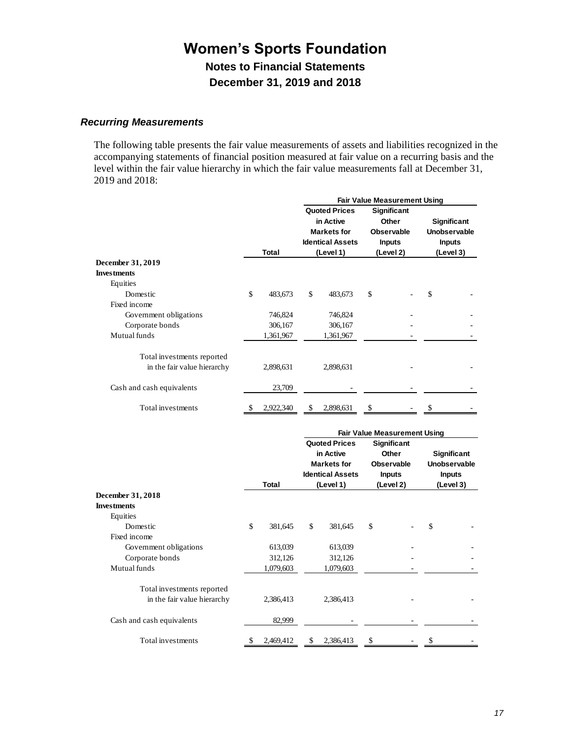#### *Recurring Measurements*

The following table presents the fair value measurements of assets and liabilities recognized in the accompanying statements of financial position measured at fair value on a recurring basis and the level within the fair value hierarchy in which the fair value measurements fall at December 31, 2019 and 2018:

|                                                           |    |           | <b>Fair Value Measurement Using</b> |                                                                                                 |    |                                                                         |                                                                  |  |  |  |
|-----------------------------------------------------------|----|-----------|-------------------------------------|-------------------------------------------------------------------------------------------------|----|-------------------------------------------------------------------------|------------------------------------------------------------------|--|--|--|
|                                                           |    | Total     |                                     | <b>Quoted Prices</b><br>in Active<br><b>Markets for</b><br><b>Identical Assets</b><br>(Level 1) |    | Significant<br>Other<br><b>Observable</b><br><b>Inputs</b><br>(Level 2) | <b>Significant</b><br>Unobservable<br><b>Inputs</b><br>(Level 3) |  |  |  |
| December 31, 2019                                         |    |           |                                     |                                                                                                 |    |                                                                         |                                                                  |  |  |  |
| <b>Investments</b>                                        |    |           |                                     |                                                                                                 |    |                                                                         |                                                                  |  |  |  |
| Equities                                                  |    |           |                                     |                                                                                                 |    |                                                                         |                                                                  |  |  |  |
| Domestic                                                  | \$ | 483,673   | \$                                  | 483,673                                                                                         | \$ |                                                                         | \$                                                               |  |  |  |
| Fixed income                                              |    |           |                                     |                                                                                                 |    |                                                                         |                                                                  |  |  |  |
| Government obligations                                    |    | 746,824   |                                     | 746,824                                                                                         |    |                                                                         |                                                                  |  |  |  |
| Corporate bonds                                           |    | 306,167   |                                     | 306,167                                                                                         |    |                                                                         |                                                                  |  |  |  |
| Mutual funds                                              |    | 1,361,967 |                                     | 1,361,967                                                                                       |    |                                                                         |                                                                  |  |  |  |
| Total investments reported<br>in the fair value hierarchy |    | 2,898,631 |                                     | 2,898,631                                                                                       |    |                                                                         |                                                                  |  |  |  |
| Cash and cash equivalents                                 |    | 23,709    |                                     |                                                                                                 |    |                                                                         |                                                                  |  |  |  |
| Total investments                                         |    | 2,922,340 |                                     | 2,898,631                                                                                       |    |                                                                         |                                                                  |  |  |  |

|                             |    |           | <b>Fair Value Measurement Using</b> |                                                                                    |    |                                                                   |               |                             |  |  |  |
|-----------------------------|----|-----------|-------------------------------------|------------------------------------------------------------------------------------|----|-------------------------------------------------------------------|---------------|-----------------------------|--|--|--|
|                             |    |           |                                     | <b>Quoted Prices</b><br>in Active<br><b>Markets for</b><br><b>Identical Assets</b> |    | <b>Significant</b><br>Other<br><b>Observable</b><br><b>Inputs</b> | <b>Inputs</b> | Significant<br>Unobservable |  |  |  |
|                             |    | Total     |                                     | (Level 1)                                                                          |    | (Level 2)                                                         | (Level 3)     |                             |  |  |  |
| December 31, 2018           |    |           |                                     |                                                                                    |    |                                                                   |               |                             |  |  |  |
| <b>Investments</b>          |    |           |                                     |                                                                                    |    |                                                                   |               |                             |  |  |  |
| Equities                    |    |           |                                     |                                                                                    |    |                                                                   |               |                             |  |  |  |
| Domestic                    | \$ | 381,645   | \$                                  | 381,645                                                                            | \$ |                                                                   | \$            |                             |  |  |  |
| Fixed income                |    |           |                                     |                                                                                    |    |                                                                   |               |                             |  |  |  |
| Government obligations      |    | 613,039   |                                     | 613,039                                                                            |    |                                                                   |               |                             |  |  |  |
| Corporate bonds             |    | 312,126   |                                     | 312,126                                                                            |    |                                                                   |               |                             |  |  |  |
| Mutual funds                |    | 1,079,603 |                                     | 1,079,603                                                                          |    |                                                                   |               |                             |  |  |  |
| Total investments reported  |    |           |                                     |                                                                                    |    |                                                                   |               |                             |  |  |  |
| in the fair value hierarchy |    | 2,386,413 |                                     | 2,386,413                                                                          |    |                                                                   |               |                             |  |  |  |
| Cash and cash equivalents   |    | 82,999    |                                     |                                                                                    |    |                                                                   |               |                             |  |  |  |
| Total investments           |    | 2,469,412 | S                                   | 2,386,413                                                                          | \$ |                                                                   |               |                             |  |  |  |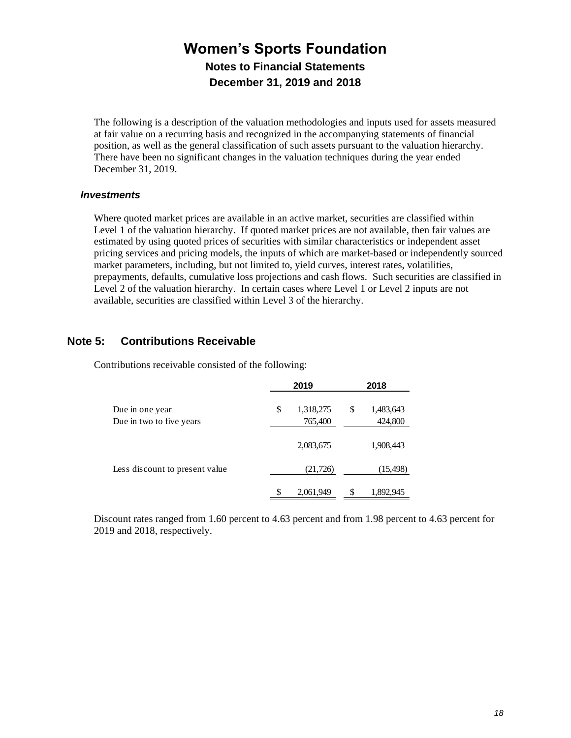The following is a description of the valuation methodologies and inputs used for assets measured at fair value on a recurring basis and recognized in the accompanying statements of financial position, as well as the general classification of such assets pursuant to the valuation hierarchy. There have been no significant changes in the valuation techniques during the year ended December 31, 2019.

#### *Investments*

Where quoted market prices are available in an active market, securities are classified within Level 1 of the valuation hierarchy. If quoted market prices are not available, then fair values are estimated by using quoted prices of securities with similar characteristics or independent asset pricing services and pricing models, the inputs of which are market-based or independently sourced market parameters, including, but not limited to, yield curves, interest rates, volatilities, prepayments, defaults, cumulative loss projections and cash flows. Such securities are classified in Level 2 of the valuation hierarchy. In certain cases where Level 1 or Level 2 inputs are not available, securities are classified within Level 3 of the hierarchy.

#### **Note 5: Contributions Receivable**

Contributions receivable consisted of the following:

|                                             |     | 2019                 | 2018                       |
|---------------------------------------------|-----|----------------------|----------------------------|
| Due in one year<br>Due in two to five years | \$  | 1,318,275<br>765,400 | \$<br>1,483,643<br>424,800 |
|                                             |     | 2,083,675            | 1,908,443                  |
| Less discount to present value              |     | (21, 726)            | (15, 498)                  |
|                                             | \$. | 2,061,949            | \$<br>1,892,945            |

Discount rates ranged from 1.60 percent to 4.63 percent and from 1.98 percent to 4.63 percent for 2019 and 2018, respectively.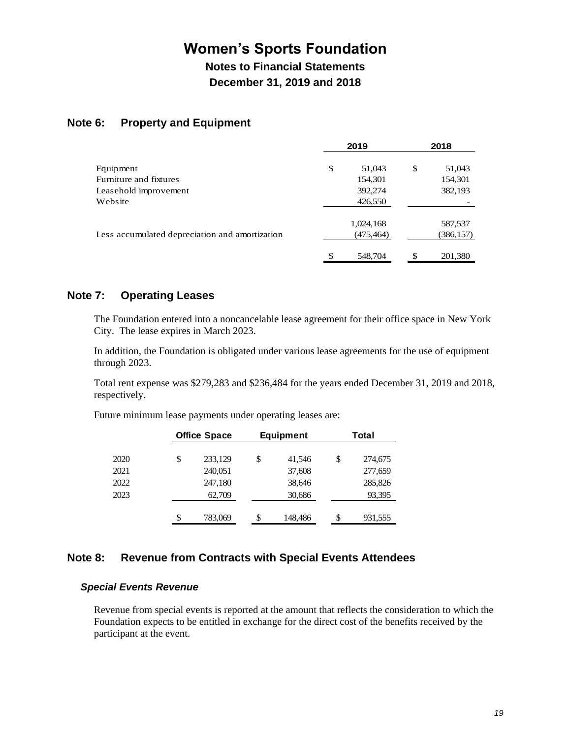**Notes to Financial Statements December 31, 2019 and 2018**

#### **Note 6: Property and Equipment**

|                                                | 2019          |               | 2018       |
|------------------------------------------------|---------------|---------------|------------|
| Equipment                                      | \$<br>51,043  | <sup>\$</sup> | 51,043     |
| Furniture and fixtures                         | 154,301       |               | 154,301    |
| Leasehold improvement                          | 392,274       |               | 382,193    |
| Website                                        | 426,550       |               |            |
|                                                | 1,024,168     |               | 587,537    |
| Less accumulated depreciation and amortization | (475, 464)    |               | (386, 157) |
|                                                | \$<br>548,704 | \$            | 201,380    |

#### **Note 7: Operating Leases**

The Foundation entered into a noncancelable lease agreement for their office space in New York City. The lease expires in March 2023.

In addition, the Foundation is obligated under various lease agreements for the use of equipment through 2023.

Total rent expense was \$279,283 and \$236,484 for the years ended December 31, 2019 and 2018, respectively.

Future minimum lease payments under operating leases are:

|      | <b>Office Space</b> | <b>Equipment</b> |    | Total   |
|------|---------------------|------------------|----|---------|
|      |                     |                  |    |         |
| 2020 | \$<br>233,129       | \$<br>41,546     | \$ | 274,675 |
| 2021 | 240,051             | 37,608           |    | 277,659 |
| 2022 | 247,180             | 38,646           |    | 285,826 |
| 2023 | 62,709              | 30,686           |    | 93,395  |
|      |                     |                  |    |         |
|      | \$<br>783,069       | \$<br>148,486    | S  | 931,555 |
|      |                     |                  |    |         |

#### **Note 8: Revenue from Contracts with Special Events Attendees**

#### *Special Events Revenue*

Revenue from special events is reported at the amount that reflects the consideration to which the Foundation expects to be entitled in exchange for the direct cost of the benefits received by the participant at the event.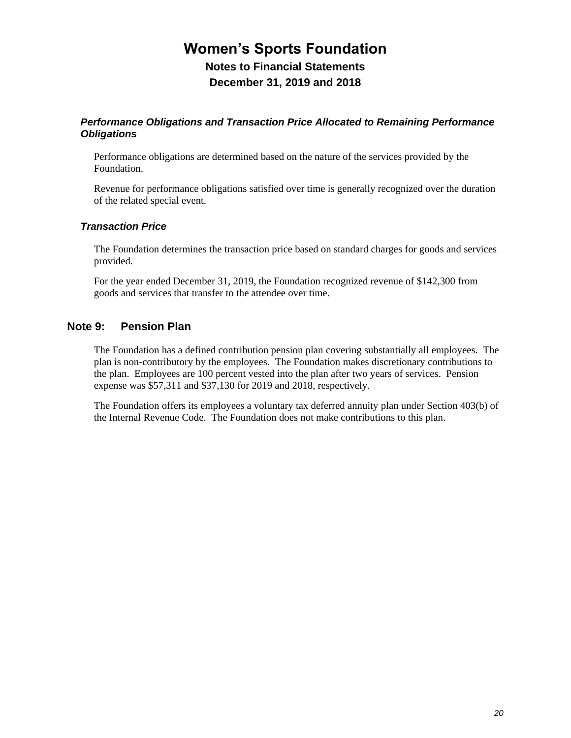## **Women's Sports Foundation Notes to Financial Statements**

**December 31, 2019 and 2018**

#### *Performance Obligations and Transaction Price Allocated to Remaining Performance Obligations*

Performance obligations are determined based on the nature of the services provided by the Foundation.

Revenue for performance obligations satisfied over time is generally recognized over the duration of the related special event.

#### *Transaction Price*

The Foundation determines the transaction price based on standard charges for goods and services provided.

For the year ended December 31, 2019, the Foundation recognized revenue of \$142,300 from goods and services that transfer to the attendee over time.

#### **Note 9: Pension Plan**

The Foundation has a defined contribution pension plan covering substantially all employees. The plan is non-contributory by the employees. The Foundation makes discretionary contributions to the plan. Employees are 100 percent vested into the plan after two years of services. Pension expense was \$57,311 and \$37,130 for 2019 and 2018, respectively.

The Foundation offers its employees a voluntary tax deferred annuity plan under Section 403(b) of the Internal Revenue Code. The Foundation does not make contributions to this plan.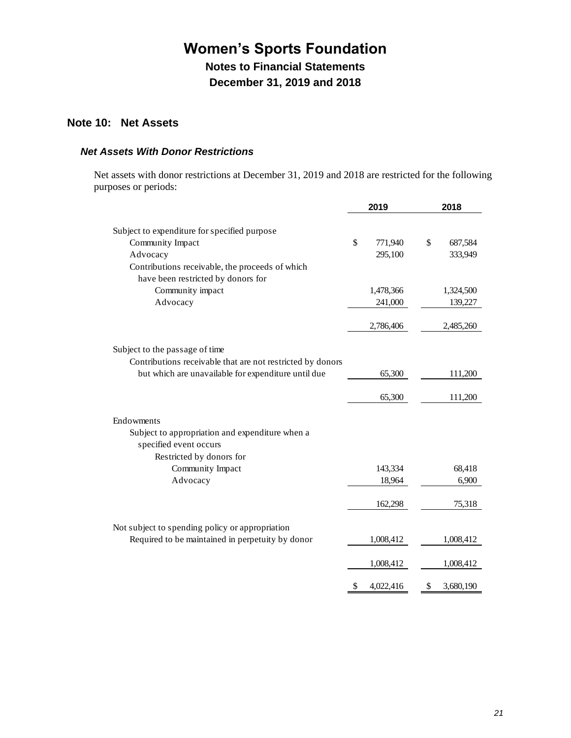**Notes to Financial Statements December 31, 2019 and 2018**

#### **Note 10: Net Assets**

#### *Net Assets With Donor Restrictions*

Net assets with donor restrictions at December 31, 2019 and 2018 are restricted for the following purposes or periods:

|                                                            | 2019            | 2018            |
|------------------------------------------------------------|-----------------|-----------------|
| Subject to expenditure for specified purpose               |                 |                 |
| Community Impact                                           | \$<br>771,940   | \$<br>687,584   |
| Advocacy                                                   | 295,100         | 333,949         |
| Contributions receivable, the proceeds of which            |                 |                 |
| have been restricted by donors for                         |                 |                 |
| Community impact                                           | 1,478,366       | 1,324,500       |
| Advocacy                                                   | 241,000         | 139,227         |
|                                                            | 2,786,406       | 2,485,260       |
|                                                            |                 |                 |
| Subject to the passage of time                             |                 |                 |
| Contributions receivable that are not restricted by donors |                 |                 |
| but which are unavailable for expenditure until due        | 65,300          | 111,200         |
|                                                            | 65,300          | 111,200         |
|                                                            |                 |                 |
| Endowments                                                 |                 |                 |
| Subject to appropriation and expenditure when a            |                 |                 |
| specified event occurs                                     |                 |                 |
| Restricted by donors for<br>Community Impact               | 143,334         | 68,418          |
| Advocacy                                                   | 18,964          | 6,900           |
|                                                            |                 |                 |
|                                                            | 162,298         | 75,318          |
| Not subject to spending policy or appropriation            |                 |                 |
| Required to be maintained in perpetuity by donor           | 1,008,412       | 1,008,412       |
|                                                            |                 |                 |
|                                                            | 1,008,412       | 1,008,412       |
|                                                            | \$<br>4,022,416 | \$<br>3,680,190 |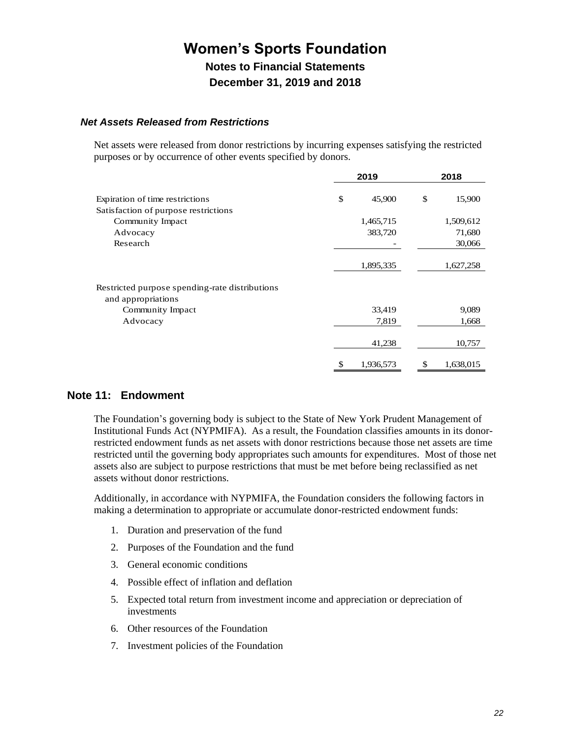#### *Net Assets Released from Restrictions*

Net assets were released from donor restrictions by incurring expenses satisfying the restricted purposes or by occurrence of other events specified by donors.

|                                                                      | 2019            |    | 2018      |  |  |
|----------------------------------------------------------------------|-----------------|----|-----------|--|--|
| Expiration of time restrictions                                      | \$<br>45,900    | \$ | 15,900    |  |  |
| Satisfaction of purpose restrictions                                 |                 |    |           |  |  |
| Community Impact                                                     | 1,465,715       |    | 1,509,612 |  |  |
| Advocacy                                                             | 383,720         |    | 71,680    |  |  |
| Research                                                             |                 |    | 30,066    |  |  |
|                                                                      |                 |    |           |  |  |
|                                                                      | 1,895,335       |    | 1,627,258 |  |  |
| Restricted purpose spending-rate distributions<br>and appropriations |                 |    |           |  |  |
| Community Impact                                                     | 33,419          |    | 9,089     |  |  |
| Advocacy                                                             | 7,819           |    | 1,668     |  |  |
|                                                                      | 41,238          |    | 10,757    |  |  |
|                                                                      | \$<br>1,936,573 | \$ | 1,638,015 |  |  |

#### **Note 11: Endowment**

The Foundation's governing body is subject to the State of New York Prudent Management of Institutional Funds Act (NYPMIFA). As a result, the Foundation classifies amounts in its donorrestricted endowment funds as net assets with donor restrictions because those net assets are time restricted until the governing body appropriates such amounts for expenditures. Most of those net assets also are subject to purpose restrictions that must be met before being reclassified as net assets without donor restrictions.

Additionally, in accordance with NYPMIFA, the Foundation considers the following factors in making a determination to appropriate or accumulate donor-restricted endowment funds:

- 1. Duration and preservation of the fund
- 2. Purposes of the Foundation and the fund
- 3. General economic conditions
- 4. Possible effect of inflation and deflation
- 5. Expected total return from investment income and appreciation or depreciation of investments
- 6. Other resources of the Foundation
- 7. Investment policies of the Foundation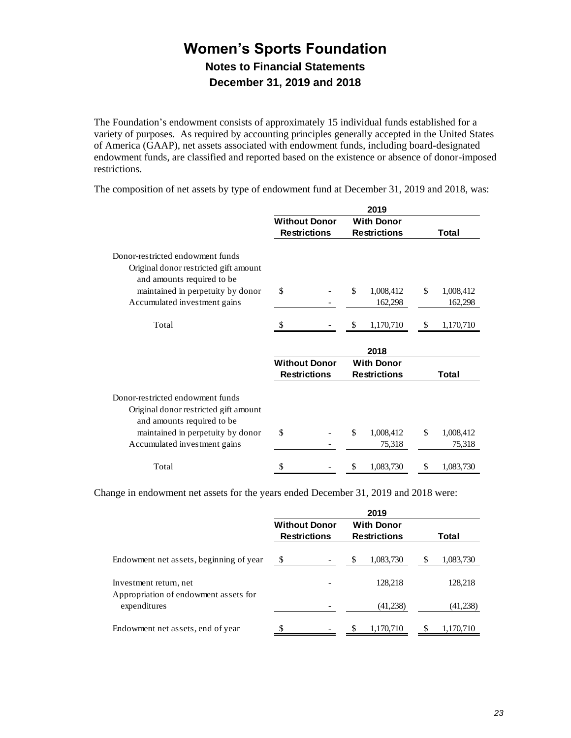The Foundation's endowment consists of approximately 15 individual funds established for a variety of purposes. As required by accounting principles generally accepted in the United States of America (GAAP), net assets associated with endowment funds, including board-designated endowment funds, are classified and reported based on the existence or absence of donor-imposed restrictions.

|                                                                                                         |                      | 2019                |                 |
|---------------------------------------------------------------------------------------------------------|----------------------|---------------------|-----------------|
|                                                                                                         | <b>Without Donor</b> | <b>With Donor</b>   |                 |
|                                                                                                         | <b>Restrictions</b>  | <b>Restrictions</b> | Total           |
| Donor-restricted endowment funds<br>Original donor restricted gift amount<br>and amounts required to be |                      |                     |                 |
| maintained in perpetuity by donor                                                                       | \$                   | \$<br>1,008,412     | \$<br>1,008,412 |
| Accumulated investment gains                                                                            |                      | 162,298             | 162,298         |
| Total                                                                                                   |                      | 1,170,710           | \$<br>1,170,710 |
|                                                                                                         |                      | 2018                |                 |
|                                                                                                         | <b>Without Donor</b> | <b>With Donor</b>   |                 |
|                                                                                                         | <b>Restrictions</b>  | <b>Restrictions</b> | Total           |
| Donor-restricted endowment funds<br>Original donor restricted gift amount<br>and amounts required to be |                      |                     |                 |
| maintained in perpetuity by donor                                                                       | \$                   | \$<br>1,008,412     | \$<br>1,008,412 |
| Accumulated investment gains                                                                            |                      | 75,318              | 75,318          |
| Total                                                                                                   | \$                   | \$<br>1,083,730     | \$<br>1,083,730 |

The composition of net assets by type of endowment fund at December 31, 2019 and 2018, was:

Change in endowment net assets for the years ended December 31, 2019 and 2018 were:

|                                                       |                                             |                          |                                          | 2019      |       |           |
|-------------------------------------------------------|---------------------------------------------|--------------------------|------------------------------------------|-----------|-------|-----------|
|                                                       | <b>Without Donor</b><br><b>Restrictions</b> |                          | <b>With Donor</b><br><b>Restrictions</b> |           | Total |           |
| Endowment net assets, beginning of year               | \$                                          |                          | S                                        | 1,083,730 | S     | 1,083,730 |
| Investment return, net                                |                                             |                          |                                          | 128,218   |       | 128,218   |
| Appropriation of endowment assets for<br>expenditures |                                             |                          |                                          | (41,238)  |       | (41,238)  |
| Endowment net assets, end of year                     | S                                           | $\overline{\phantom{a}}$ |                                          | 1,170,710 |       | 1,170,710 |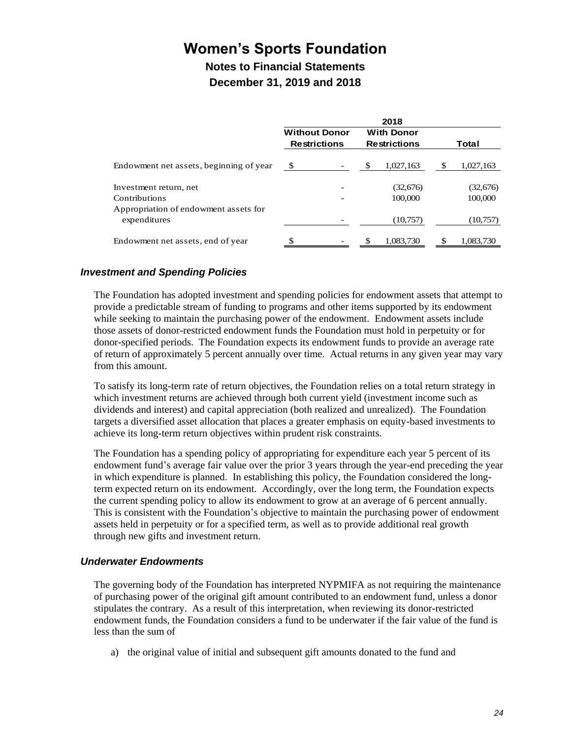**Notes to Financial Statements December 31, 2019 and 2018**

|                                                       |                                             | 2018                                     |                 |
|-------------------------------------------------------|---------------------------------------------|------------------------------------------|-----------------|
|                                                       | <b>Without Donor</b><br><b>Restrictions</b> | <b>With Donor</b><br><b>Restrictions</b> | Total           |
| Endowment net assets, beginning of year               | \$                                          | \$<br>1,027,163                          | \$<br>1,027,163 |
| Investment return, net                                |                                             | (32,676)                                 | (32,676)        |
| Contributions                                         |                                             | 100,000                                  | 100,000         |
| Appropriation of endowment assets for<br>expenditures |                                             | (10,757)                                 | (10,757)        |
| Endowment net assets, end of year                     |                                             | 1.083.730                                | 1,083,730       |

#### *Investment and Spending Policies*

The Foundation has adopted investment and spending policies for endowment assets that attempt to provide a predictable stream of funding to programs and other items supported by its endowment while seeking to maintain the purchasing power of the endowment. Endowment assets include those assets of donor-restricted endowment funds the Foundation must hold in perpetuity or for donor-specified periods. The Foundation expects its endowment funds to provide an average rate of return of approximately 5 percent annually over time. Actual returns in any given year may vary from this amount.

To satisfy its long-term rate of return objectives, the Foundation relies on a total return strategy in which investment returns are achieved through both current yield (investment income such as dividends and interest) and capital appreciation (both realized and unrealized). The Foundation targets a diversified asset allocation that places a greater emphasis on equity-based investments to achieve its long-term return objectives within prudent risk constraints.

The Foundation has a spending policy of appropriating for expenditure each year 5 percent of its endowment fund's average fair value over the prior 3 years through the year-end preceding the year in which expenditure is planned. In establishing this policy, the Foundation considered the longterm expected return on its endowment. Accordingly, over the long term, the Foundation expects the current spending policy to allow its endowment to grow at an average of 6 percent annually. This is consistent with the Foundation's objective to maintain the purchasing power of endowment assets held in perpetuity or for a specified term, as well as to provide additional real growth through new gifts and investment return.

#### *Underwater Endowments*

The governing body of the Foundation has interpreted NYPMIFA as not requiring the maintenance of purchasing power of the original gift amount contributed to an endowment fund, unless a donor stipulates the contrary. As a result of this interpretation, when reviewing its donor-restricted endowment funds, the Foundation considers a fund to be underwater if the fair value of the fund is less than the sum of

a) the original value of initial and subsequent gift amounts donated to the fund and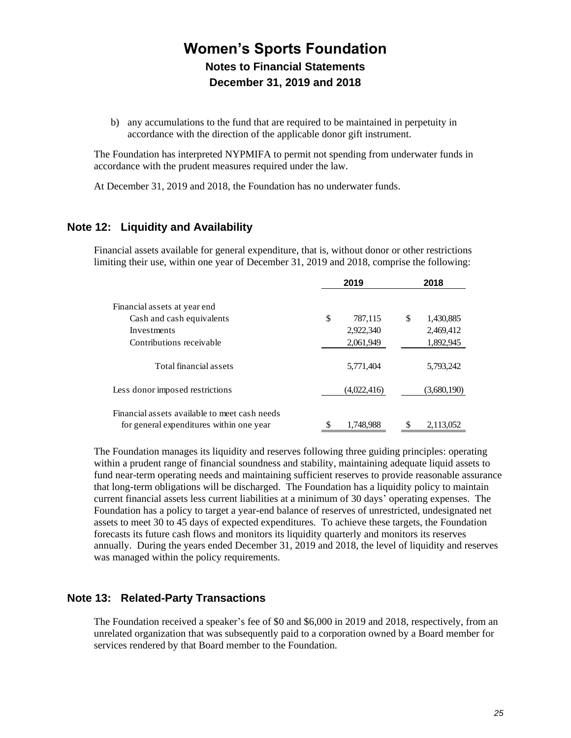b) any accumulations to the fund that are required to be maintained in perpetuity in accordance with the direction of the applicable donor gift instrument.

The Foundation has interpreted NYPMIFA to permit not spending from underwater funds in accordance with the prudent measures required under the law.

At December 31, 2019 and 2018, the Foundation has no underwater funds.

#### **Note 12: Liquidity and Availability**

Financial assets available for general expenditure, that is, without donor or other restrictions limiting their use, within one year of December 31, 2019 and 2018, comprise the following:

|                                                                                           |    | 2019        | 2018            |  |  |
|-------------------------------------------------------------------------------------------|----|-------------|-----------------|--|--|
| Financial assets at year end                                                              |    |             |                 |  |  |
| Cash and cash equivalents                                                                 | \$ | 787,115     | \$<br>1,430,885 |  |  |
| Investments                                                                               |    | 2,922,340   | 2,469,412       |  |  |
| Contributions receivable                                                                  |    | 2,061,949   | 1,892,945       |  |  |
| Total financial assets                                                                    |    | 5,771,404   | 5,793,242       |  |  |
| Less donor imposed restrictions                                                           |    | (4,022,416) | (3,680,190)     |  |  |
| Financial assets available to meet cash needs<br>for general expenditures within one year | \$ | 1.748.988   | \$<br>2,113,052 |  |  |

The Foundation manages its liquidity and reserves following three guiding principles: operating within a prudent range of financial soundness and stability, maintaining adequate liquid assets to fund near-term operating needs and maintaining sufficient reserves to provide reasonable assurance that long-term obligations will be discharged. The Foundation has a liquidity policy to maintain current financial assets less current liabilities at a minimum of 30 days' operating expenses. The Foundation has a policy to target a year-end balance of reserves of unrestricted, undesignated net assets to meet 30 to 45 days of expected expenditures. To achieve these targets, the Foundation forecasts its future cash flows and monitors its liquidity quarterly and monitors its reserves annually. During the years ended December 31, 2019 and 2018, the level of liquidity and reserves was managed within the policy requirements.

#### **Note 13: Related-Party Transactions**

The Foundation received a speaker's fee of \$0 and \$6,000 in 2019 and 2018, respectively, from an unrelated organization that was subsequently paid to a corporation owned by a Board member for services rendered by that Board member to the Foundation.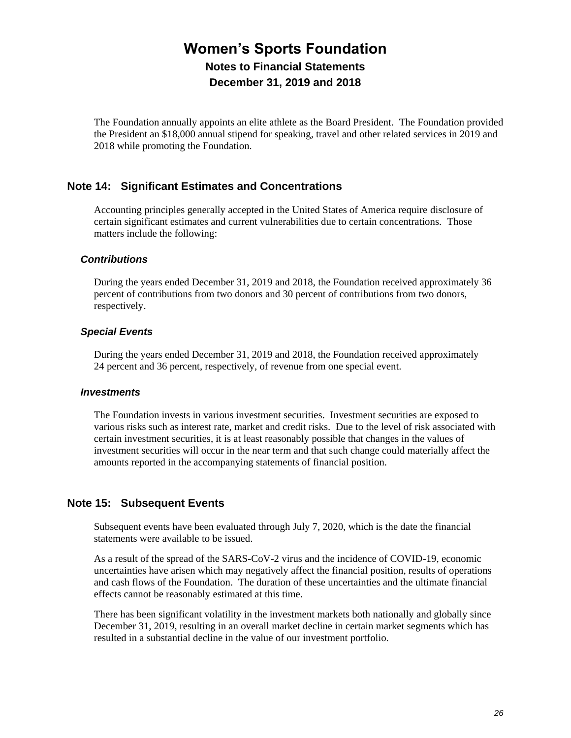The Foundation annually appoints an elite athlete as the Board President. The Foundation provided the President an \$18,000 annual stipend for speaking, travel and other related services in 2019 and 2018 while promoting the Foundation.

#### **Note 14: Significant Estimates and Concentrations**

Accounting principles generally accepted in the United States of America require disclosure of certain significant estimates and current vulnerabilities due to certain concentrations. Those matters include the following:

#### *Contributions*

During the years ended December 31, 2019 and 2018, the Foundation received approximately 36 percent of contributions from two donors and 30 percent of contributions from two donors, respectively.

#### *Special Events*

During the years ended December 31, 2019 and 2018, the Foundation received approximately 24 percent and 36 percent, respectively, of revenue from one special event.

#### *Investments*

The Foundation invests in various investment securities. Investment securities are exposed to various risks such as interest rate, market and credit risks. Due to the level of risk associated with certain investment securities, it is at least reasonably possible that changes in the values of investment securities will occur in the near term and that such change could materially affect the amounts reported in the accompanying statements of financial position.

#### **Note 15: Subsequent Events**

Subsequent events have been evaluated through July 7, 2020, which is the date the financial statements were available to be issued.

As a result of the spread of the SARS-CoV-2 virus and the incidence of COVID-19, economic uncertainties have arisen which may negatively affect the financial position, results of operations and cash flows of the Foundation. The duration of these uncertainties and the ultimate financial effects cannot be reasonably estimated at this time.

There has been significant volatility in the investment markets both nationally and globally since December 31, 2019, resulting in an overall market decline in certain market segments which has resulted in a substantial decline in the value of our investment portfolio.